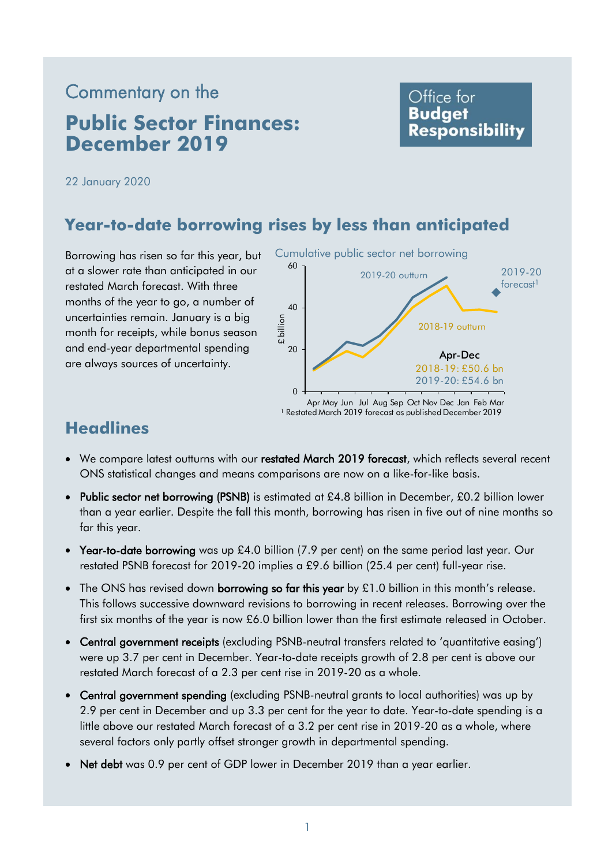# Commentary on the **Public Sector Finances: December 2019**

# Office for **Budget Responsibility**

22 January 2020

# **Year-to-date borrowing rises by less than anticipated**

 uncertainties remain. January is a big Borrowing has risen so far this year, but at a slower rate than anticipated in our restated March forecast. With three months of the year to go, a number of month for receipts, while bonus season and end-year departmental spending are always sources of uncertainty.



# **Headlines**

- We compare latest outturns with our restated March 2019 forecast, which reflects several recent ONS statistical changes and means comparisons are now on a like-for-like basis.
- Public sector net borrowing (PSNB) is estimated at £4.8 billion in December, £0.2 billion lower than a year earlier. Despite the fall this month, borrowing has risen in five out of nine months so far this year.
- Year-to-date borrowing was up £4.0 billion (7.9 per cent) on the same period last year. Our restated PSNB forecast for 2019-20 implies a £9.6 billion (25.4 per cent) full-year rise.
- The ONS has revised down **borrowing so far this year** by  $£1.0$  billion in this month's release. This follows successive downward revisions to borrowing in recent releases. Borrowing over the first six months of the year is now £6.0 billion lower than the first estimate released in October.
- Central government receipts (excluding PSNB-neutral transfers related to 'quantitative easing') were up 3.7 per cent in December. Year-to-date receipts growth of 2.8 per cent is above our restated March forecast of a 2.3 per cent rise in 2019-20 as a whole.
- Central government spending (excluding PSNB-neutral grants to local authorities) was up by 2.9 per cent in December and up 3.3 per cent for the year to date. Year-to-date spending is a little above our restated March forecast of a 3.2 per cent rise in 2019-20 as a whole, where several factors only partly offset stronger growth in departmental spending.
- Net debt was 0.9 per cent of GDP lower in December 2019 than a year earlier.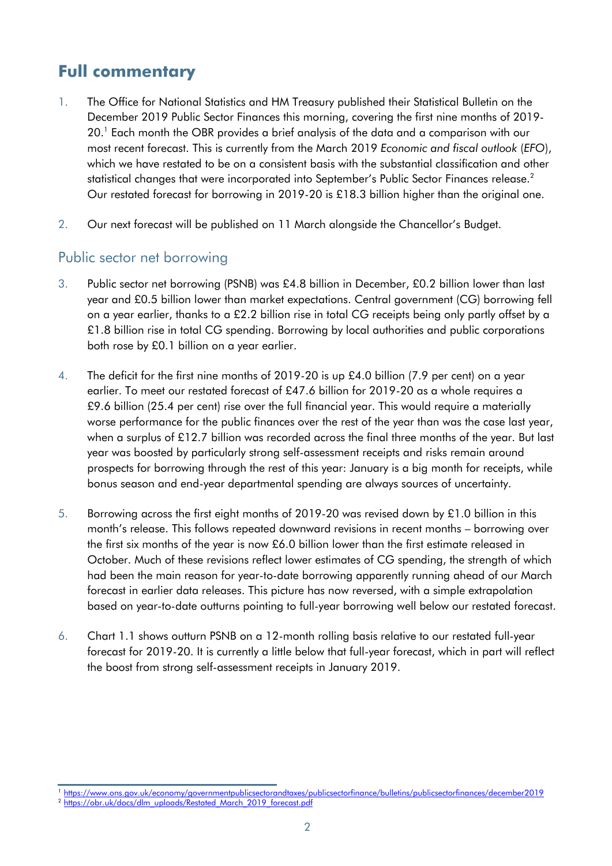# **Full commentary**

- most recent forecast. This is currently from the March 2019 *Economic and fiscal outlook* (*EFO*), 1. The Office for National Statistics and HM Treasury published their Statistical Bulletin on the December 2019 Public Sector Finances this morning, covering the first nine months of 2019- 20. 1 Each month the OBR provides a brief analysis of the data and a comparison with our which we have restated to be on a consistent basis with the substantial classification and other statistical changes that were incorporated into September's Public Sector Finances release. 2 Our restated forecast for borrowing in 2019-20 is £18.3 billion higher than the original one.
- 2. Our next forecast will be published on 11 March alongside the Chancellor's Budget.

### Public sector net borrowing

- year and £0.5 billion lower than market expectations. Central government (CG) borrowing fell 3. Public sector net borrowing (PSNB) was £4.8 billion in December, £0.2 billion lower than last on a year earlier, thanks to a £2.2 billion rise in total CG receipts being only partly offset by a £1.8 billion rise in total CG spending. Borrowing by local authorities and public corporations both rose by £0.1 billion on a year earlier.
- 4. The deficit for the first nine months of 2019-20 is up £4.0 billion (7.9 per cent) on a year earlier. To meet our restated forecast of £47.6 billion for 2019-20 as a whole requires a £9.6 billion (25.4 per cent) rise over the full financial year. This would require a materially worse performance for the public finances over the rest of the year than was the case last year, when a surplus of £12.7 billion was recorded across the final three months of the year. But last year was boosted by particularly strong self-assessment receipts and risks remain around prospects for borrowing through the rest of this year: January is a big month for receipts, while bonus season and end-year departmental spending are always sources of uncertainty.
- 5. Borrowing across the first eight months of 2019-20 was revised down by £1.0 billion in this month's release. This follows repeated downward revisions in recent months – borrowing over the first six months of the year is now £6.0 billion lower than the first estimate released in October. Much of these revisions reflect lower estimates of CG spending, the strength of which had been the main reason for year-to-date borrowing apparently running ahead of our March forecast in earlier data releases. This picture has now reversed, with a simple extrapolation based on year-to-date outturns pointing to full-year borrowing well below our restated forecast.
- 6. Chart 1.1 shows outturn PSNB on a 12-month rolling basis relative to our restated full-year forecast for 2019-20. It is currently a little below that full-year forecast, which in part will reflect the boost from strong self-assessment receipts in January 2019.

<sup>&</sup>lt;sup>1</sup> https://www.ons.gov.uk/economy/governmentpublicsectorandtaxes/publicsectorfinance/bulletins/publicsectorfinances/december2019<br><sup>2</sup> https://obr.uk/docs/dlm\_uploads/Restated\_March\_2019\_forecast.pdf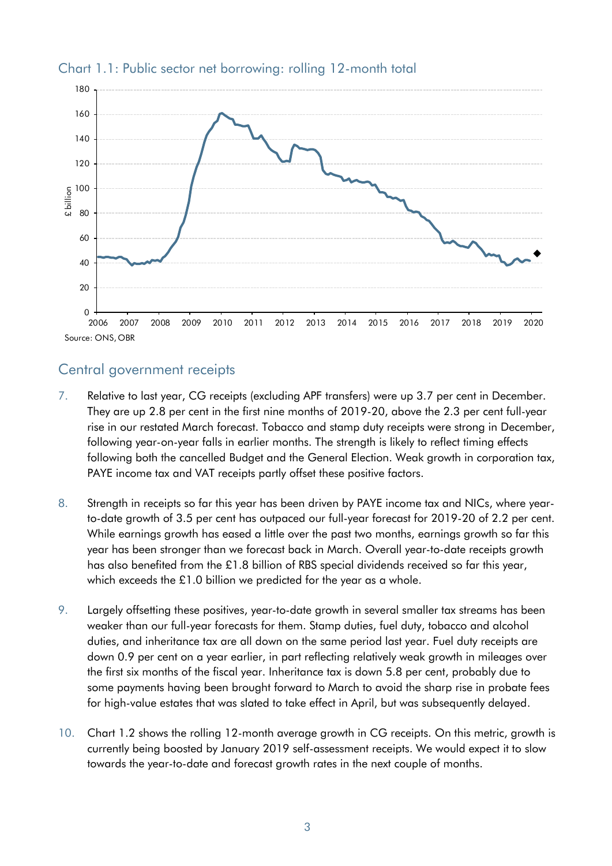

#### Chart 1.1: Public sector net borrowing: rolling 12-month total

### Central government receipts

- 7. Relative to last year, CG receipts (excluding APF transfers) were up 3.7 per cent in December. They are up 2.8 per cent in the first nine months of 2019-20, above the 2.3 per cent full-year rise in our restated March forecast. Tobacco and stamp duty receipts were strong in December, following year-on-year falls in earlier months. The strength is likely to reflect timing effects following both the cancelled Budget and the General Election. Weak growth in corporation tax, PAYE income tax and VAT receipts partly offset these positive factors.
- 8. Strength in receipts so far this year has been driven by PAYE income tax and NICs, where yearto-date growth of 3.5 per cent has outpaced our full-year forecast for 2019-20 of 2.2 per cent. While earnings growth has eased a little over the past two months, earnings growth so far this year has been stronger than we forecast back in March. Overall year-to-date receipts growth has also benefited from the £1.8 billion of RBS special dividends received so far this year, which exceeds the £1.0 billion we predicted for the year as a whole.
- 9. Largely offsetting these positives, year-to-date growth in several smaller tax streams has been weaker than our full-year forecasts for them. Stamp duties, fuel duty, tobacco and alcohol duties, and inheritance tax are all down on the same period last year. Fuel duty receipts are down 0.9 per cent on a year earlier, in part reflecting relatively weak growth in mileages over the first six months of the fiscal year. Inheritance tax is down 5.8 per cent, probably due to some payments having been brought forward to March to avoid the sharp rise in probate fees for high-value estates that was slated to take effect in April, but was subsequently delayed.
- 10. Chart 1.2 shows the rolling 12-month average growth in CG receipts. On this metric, growth is currently being boosted by January 2019 self-assessment receipts. We would expect it to slow towards the year-to-date and forecast growth rates in the next couple of months.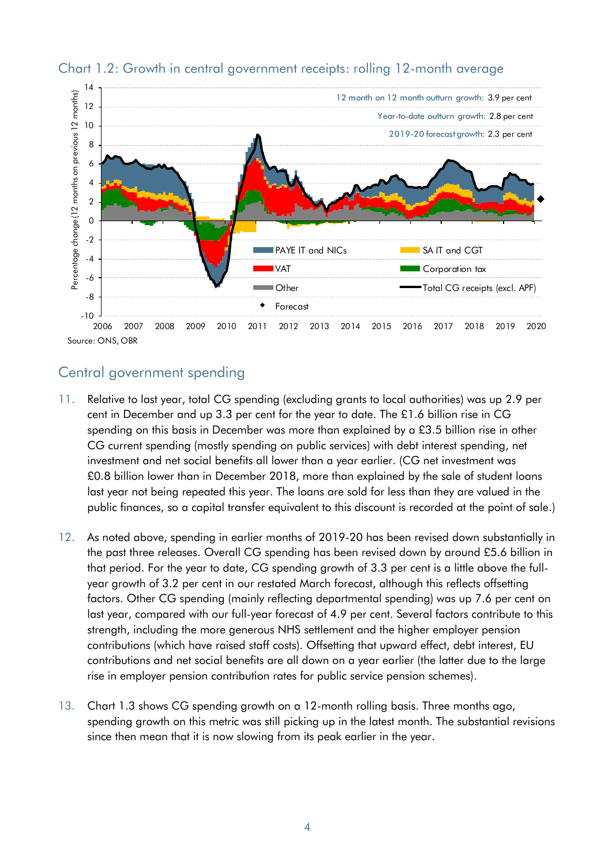

#### Chart 1.2: Growth in central government receipts: rolling 12-month average

# Central government spending

- 11. Relative to last year, total CG spending (excluding grants to local authorities) was up 2.9 per cent in December and up 3.3 per cent for the year to date. The £1.6 billion rise in CG spending on this basis in December was more than explained by a £3.5 billion rise in other CG current spending (mostly spending on public services) with debt interest spending, net investment and net social benefits all lower than a year earlier. (CG net investment was £0.8 billion lower than in December 2018, more than explained by the sale of student loans last year not being repeated this year. The loans are sold for less than they are valued in the public finances, so a capital transfer equivalent to this discount is recorded at the point of sale.)
- factors. Other CG spending (mainly reflecting departmental spending) was up 7.6 per cent on 12. As noted above, spending in earlier months of 2019-20 has been revised down substantially in the past three releases. Overall CG spending has been revised down by around £5.6 billion in that period. For the year to date, CG spending growth of 3.3 per cent is a little above the fullyear growth of 3.2 per cent in our restated March forecast, although this reflects offsetting last year, compared with our full-year forecast of 4.9 per cent. Several factors contribute to this strength, including the more generous NHS settlement and the higher employer pension contributions (which have raised staff costs). Offsetting that upward effect, debt interest, EU contributions and net social benefits are all down on a year earlier (the latter due to the large rise in employer pension contribution rates for public service pension schemes).
- 13. Chart 1.3 shows CG spending growth on a 12-month rolling basis. Three months ago, spending growth on this metric was still picking up in the latest month. The substantial revisions since then mean that it is now slowing from its peak earlier in the year.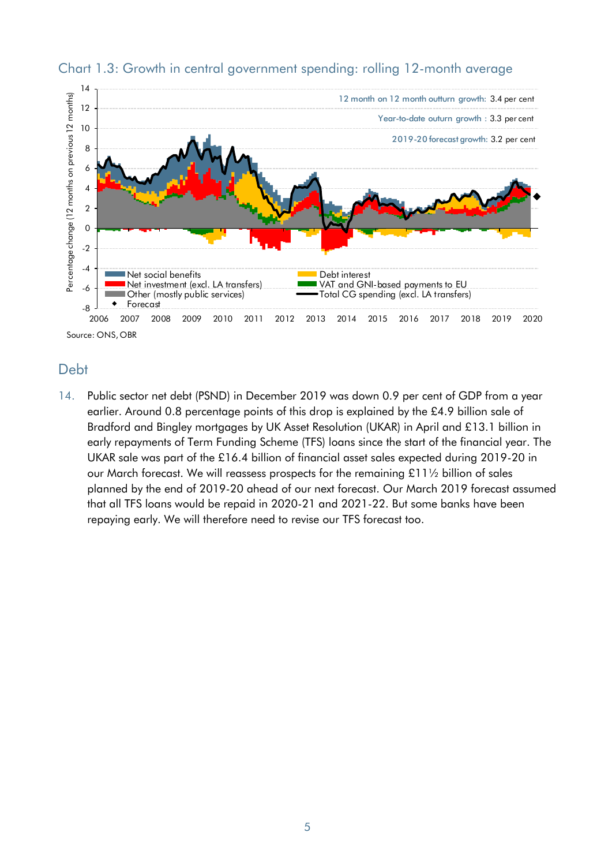

#### Chart 1.3: Growth in central government spending: rolling 12-month average

# Debt

14. Public sector net debt (PSND) in December 2019 was down 0.9 per cent of GDP from a year earlier. Around 0.8 percentage points of this drop is explained by the £4.9 billion sale of Bradford and Bingley mortgages by UK Asset Resolution (UKAR) in April and £13.1 billion in early repayments of Term Funding Scheme (TFS) loans since the start of the financial year. The UKAR sale was part of the £16.4 billion of financial asset sales expected during 2019-20 in our March forecast. We will reassess prospects for the remaining £11½ billion of sales planned by the end of 2019-20 ahead of our next forecast. Our March 2019 forecast assumed that all TFS loans would be repaid in 2020-21 and 2021-22. But some banks have been repaying early. We will therefore need to revise our TFS forecast too.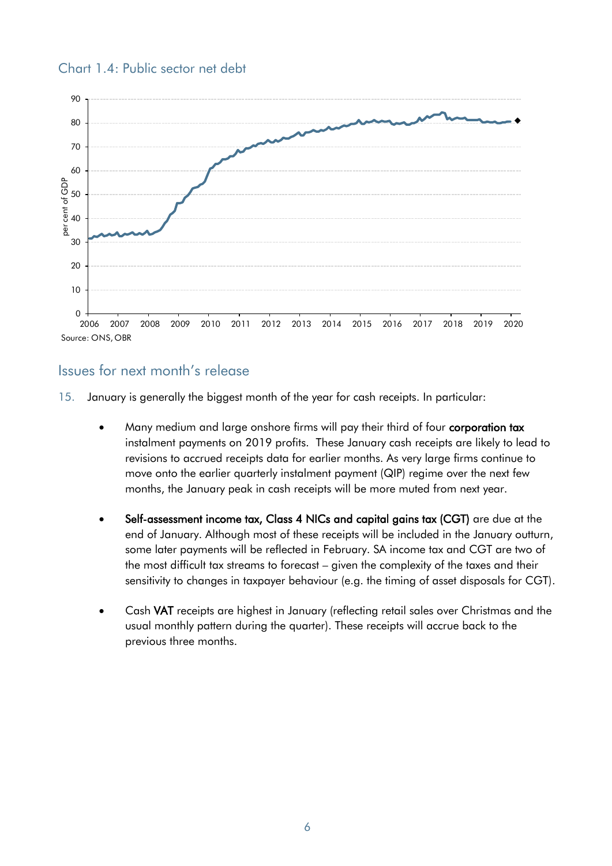

#### Chart 1.4: Public sector net debt

# Issues for next month's release

15. January is generally the biggest month of the year for cash receipts. In particular:

- Many medium and large onshore firms will pay their third of four corporation tax instalment payments on 2019 profits. These January cash receipts are likely to lead to revisions to accrued receipts data for earlier months. As very large firms continue to move onto the earlier quarterly instalment payment (QIP) regime over the next few months, the January peak in cash receipts will be more muted from next year.
- • Self-assessment income tax, Class 4 NICs and capital gains tax (CGT) are due at the end of January. Although most of these receipts will be included in the January outturn, some later payments will be reflected in February. SA income tax and CGT are two of the most difficult tax streams to forecast – given the complexity of the taxes and their sensitivity to changes in taxpayer behaviour (e.g. the timing of asset disposals for CGT).
- Cash VAT receipts are highest in January (reflecting retail sales over Christmas and the usual monthly pattern during the quarter). These receipts will accrue back to the previous three months.